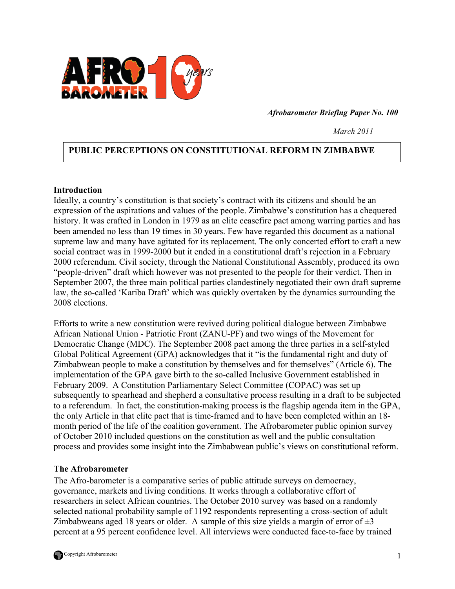

*Afrobarometer Briefing Paper No. 100*

 *March 2011* 

# **PUBLIC PERCEPTIONS ON CONSTITUTIONAL REFORM IN ZIMBABWE**

#### **Introduction**

Ideally, a country's constitution is that society's contract with its citizens and should be an expression of the aspirations and values of the people. Zimbabwe's constitution has a chequered history. It was crafted in London in 1979 as an elite ceasefire pact among warring parties and has been amended no less than 19 times in 30 years. Few have regarded this document as a national supreme law and many have agitated for its replacement. The only concerted effort to craft a new social contract was in 1999-2000 but it ended in a constitutional draft's rejection in a February 2000 referendum. Civil society, through the National Constitutional Assembly, produced its own "people-driven" draft which however was not presented to the people for their verdict. Then in September 2007, the three main political parties clandestinely negotiated their own draft supreme law, the so-called 'Kariba Draft' which was quickly overtaken by the dynamics surrounding the 2008 elections.

Efforts to write a new constitution were revived during political dialogue between Zimbabwe African National Union - Patriotic Front (ZANU-PF) and two wings of the Movement for Democratic Change (MDC). The September 2008 pact among the three parties in a self-styled Global Political Agreement (GPA) acknowledges that it "is the fundamental right and duty of Zimbabwean people to make a constitution by themselves and for themselves" (Article 6). The implementation of the GPA gave birth to the so-called Inclusive Government established in February 2009. A Constitution Parliamentary Select Committee (COPAC) was set up subsequently to spearhead and shepherd a consultative process resulting in a draft to be subjected to a referendum. In fact, the constitution-making process is the flagship agenda item in the GPA, the only Article in that elite pact that is time-framed and to have been completed within an 18 month period of the life of the coalition government. The Afrobarometer public opinion survey of October 2010 included questions on the constitution as well and the public consultation process and provides some insight into the Zimbabwean public's views on constitutional reform.

### **The Afrobarometer**

The Afro-barometer is a comparative series of public attitude surveys on democracy, governance, markets and living conditions. It works through a collaborative effort of researchers in select African countries. The October 2010 survey was based on a randomly selected national probability sample of 1192 respondents representing a cross-section of adult Zimbabweans aged 18 years or older. A sample of this size yields a margin of error of  $\pm 3$ percent at a 95 percent confidence level. All interviews were conducted face-to-face by trained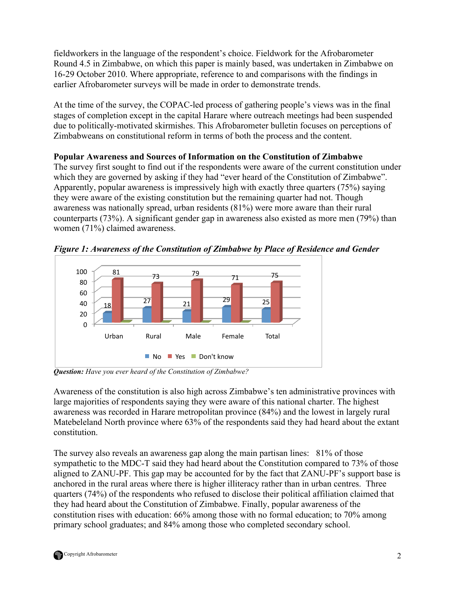fieldworkers in the language of the respondent's choice. Fieldwork for the Afrobarometer Round 4.5 in Zimbabwe, on which this paper is mainly based, was undertaken in Zimbabwe on 16-29 October 2010. Where appropriate, reference to and comparisons with the findings in earlier Afrobarometer surveys will be made in order to demonstrate trends.

At the time of the survey, the COPAC-led process of gathering people's views was in the final stages of completion except in the capital Harare where outreach meetings had been suspended due to politically-motivated skirmishes. This Afrobarometer bulletin focuses on perceptions of Zimbabweans on constitutional reform in terms of both the process and the content.

# **Popular Awareness and Sources of Information on the Constitution of Zimbabwe**

The survey first sought to find out if the respondents were aware of the current constitution under which they are governed by asking if they had "ever heard of the Constitution of Zimbabwe". Apparently, popular awareness is impressively high with exactly three quarters (75%) saying they were aware of the existing constitution but the remaining quarter had not. Though awareness was nationally spread, urban residents (81%) were more aware than their rural counterparts (73%). A significant gender gap in awareness also existed as more men (79%) than women (71%) claimed awareness.

*Figure 1: Awareness of the Constitution of Zimbabwe by Place of Residence and Gender*



*Question: Have you ever heard of the Constitution of Zimbabwe?*

Awareness of the constitution is also high across Zimbabwe's ten administrative provinces with large majorities of respondents saying they were aware of this national charter. The highest awareness was recorded in Harare metropolitan province (84%) and the lowest in largely rural Matebeleland North province where 63% of the respondents said they had heard about the extant constitution.

The survey also reveals an awareness gap along the main partisan lines: 81% of those sympathetic to the MDC-T said they had heard about the Constitution compared to 73% of those aligned to ZANU-PF. This gap may be accounted for by the fact that ZANU-PF's support base is anchored in the rural areas where there is higher illiteracy rather than in urban centres. Three quarters (74%) of the respondents who refused to disclose their political affiliation claimed that they had heard about the Constitution of Zimbabwe. Finally, popular awareness of the constitution rises with education: 66% among those with no formal education; to 70% among primary school graduates; and 84% among those who completed secondary school.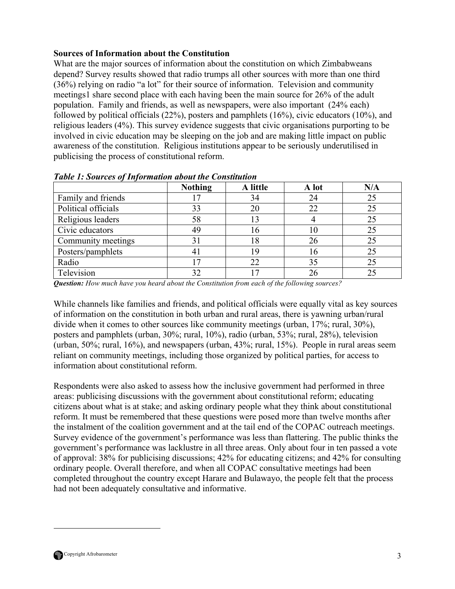# **Sources of Information about the Constitution**

What are the major sources of information about the constitution on which Zimbabweans depend? Survey results showed that radio trumps all other sources with more than one third (36%) relying on radio "a lot" for their source of information. Television and community meetings1 share second place with each having been the main source for 26% of the adult population. Family and friends, as well as newspapers, were also important (24% each) followed by political officials (22%), posters and pamphlets (16%), civic educators (10%), and religious leaders (4%). This survey evidence suggests that civic organisations purporting to be involved in civic education may be sleeping on the job and are making little impact on public awareness of the constitution. Religious institutions appear to be seriously underutilised in publicising the process of constitutional reform.

|                     | <b>Nothing</b> | A little | A lot | N/A |
|---------------------|----------------|----------|-------|-----|
| Family and friends  |                | 34       | 24    | 25  |
| Political officials | 33             | 20       | 22    | 25  |
| Religious leaders   | 58             | 13       |       | 25  |
| Civic educators     | 49             | 16       | 10    | 25  |
| Community meetings  | 31             | 18       | 26    | 25  |
| Posters/pamphlets   | $\overline{4}$ | 19       | 16    | 25  |
| Radio               |                | 22       | 35    | 25  |
| Television          | 32             |          | 26    | 25  |

*Table 1: Sources of Information about the Constitution*

*Question: How much have you heard about the Constitution from each of the following sources?* 

While channels like families and friends, and political officials were equally vital as key sources of information on the constitution in both urban and rural areas, there is yawning urban/rural divide when it comes to other sources like community meetings (urban, 17%; rural, 30%), posters and pamphlets (urban, 30%; rural, 10%), radio (urban, 53%; rural, 28%), television (urban,  $50\%$ ; rural,  $16\%$ ), and newspapers (urban,  $43\%$ ; rural,  $15\%$ ). People in rural areas seem reliant on community meetings, including those organized by political parties, for access to information about constitutional reform.

Respondents were also asked to assess how the inclusive government had performed in three areas: publicising discussions with the government about constitutional reform; educating citizens about what is at stake; and asking ordinary people what they think about constitutional reform. It must be remembered that these questions were posed more than twelve months after the instalment of the coalition government and at the tail end of the COPAC outreach meetings. Survey evidence of the government's performance was less than flattering. The public thinks the government's performance was lacklustre in all three areas. Only about four in ten passed a vote of approval: 38% for publicising discussions; 42% for educating citizens; and 42% for consulting ordinary people. Overall therefore, and when all COPAC consultative meetings had been completed throughout the country except Harare and Bulawayo, the people felt that the process had not been adequately consultative and informative.



 $\overline{a}$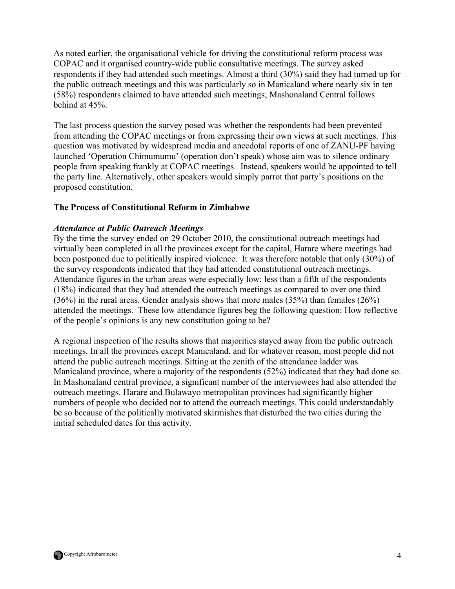As noted earlier, the organisational vehicle for driving the constitutional reform process was COPAC and it organised country-wide public consultative meetings. The survey asked respondents if they had attended such meetings. Almost a third (30%) said they had turned up for the public outreach meetings and this was particularly so in Manicaland where nearly six in ten (58%) respondents claimed to have attended such meetings; Mashonaland Central follows behind at 45%.

The last process question the survey posed was whether the respondents had been prevented from attending the COPAC meetings or from expressing their own views at such meetings. This question was motivated by widespread media and anecdotal reports of one of ZANU-PF having launched 'Operation Chimumumu' (operation don't speak) whose aim was to silence ordinary people from speaking frankly at COPAC meetings. Instead, speakers would be appointed to tell the party line. Alternatively, other speakers would simply parrot that party's positions on the proposed constitution.

### **The Process of Constitutional Reform in Zimbabwe**

### *Attendance at Public Outreach Meetings*

By the time the survey ended on 29 October 2010, the constitutional outreach meetings had virtually been completed in all the provinces except for the capital, Harare where meetings had been postponed due to politically inspired violence. It was therefore notable that only (30%) of the survey respondents indicated that they had attended constitutional outreach meetings. Attendance figures in the urban areas were especially low: less than a fifth of the respondents (18%) indicated that they had attended the outreach meetings as compared to over one third (36%) in the rural areas. Gender analysis shows that more males (35%) than females (26%) attended the meetings. These low attendance figures beg the following question: How reflective of the people's opinions is any new constitution going to be?

A regional inspection of the results shows that majorities stayed away from the public outreach meetings. In all the provinces except Manicaland, and for whatever reason, most people did not attend the public outreach meetings. Sitting at the zenith of the attendance ladder was Manicaland province, where a majority of the respondents (52%) indicated that they had done so. In Mashonaland central province, a significant number of the interviewees had also attended the outreach meetings. Harare and Bulawayo metropolitan provinces had significantly higher numbers of people who decided not to attend the outreach meetings. This could understandably be so because of the politically motivated skirmishes that disturbed the two cities during the initial scheduled dates for this activity.

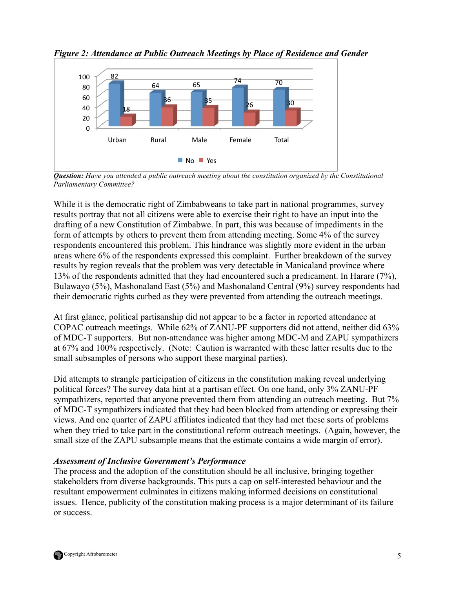

*Figure 2: Attendance at Public Outreach Meetings by Place of Residence and Gender*

*Question: Have you attended a public outreach meeting about the constitution organized by the Constitutional Parliamentary Committee?*

While it is the democratic right of Zimbabweans to take part in national programmes, survey results portray that not all citizens were able to exercise their right to have an input into the drafting of a new Constitution of Zimbabwe. In part, this was because of impediments in the form of attempts by others to prevent them from attending meeting. Some 4% of the survey respondents encountered this problem. This hindrance was slightly more evident in the urban areas where 6% of the respondents expressed this complaint. Further breakdown of the survey results by region reveals that the problem was very detectable in Manicaland province where 13% of the respondents admitted that they had encountered such a predicament. In Harare (7%), Bulawayo (5%), Mashonaland East (5%) and Mashonaland Central (9%) survey respondents had their democratic rights curbed as they were prevented from attending the outreach meetings.

At first glance, political partisanship did not appear to be a factor in reported attendance at COPAC outreach meetings. While 62% of ZANU-PF supporters did not attend, neither did 63% of MDC-T supporters. But non-attendance was higher among MDC-M and ZAPU sympathizers at 67% and 100% respectively. (Note: Caution is warranted with these latter results due to the small subsamples of persons who support these marginal parties).

Did attempts to strangle participation of citizens in the constitution making reveal underlying political forces? The survey data hint at a partisan effect. On one hand, only 3% ZANU-PF sympathizers, reported that anyone prevented them from attending an outreach meeting. But 7% of MDC-T sympathizers indicated that they had been blocked from attending or expressing their views. And one quarter of ZAPU affiliates indicated that they had met these sorts of problems when they tried to take part in the constitutional reform outreach meetings. (Again, however, the small size of the ZAPU subsample means that the estimate contains a wide margin of error).

### *Assessment of Inclusive Government's Performance*

The process and the adoption of the constitution should be all inclusive, bringing together stakeholders from diverse backgrounds. This puts a cap on self-interested behaviour and the resultant empowerment culminates in citizens making informed decisions on constitutional issues. Hence, publicity of the constitution making process is a major determinant of its failure or success.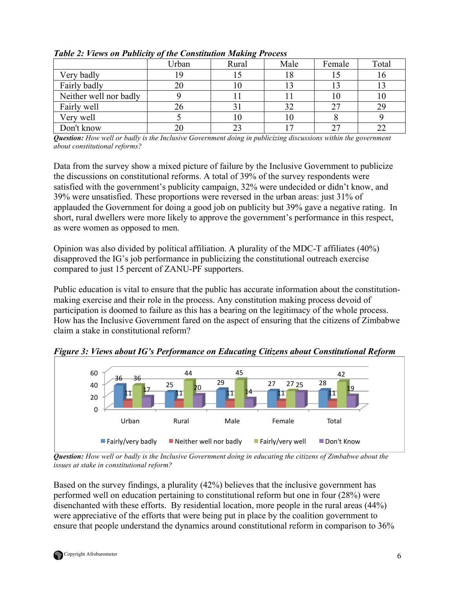|                        | Urban | $\cdot$<br>Rural | Male | Female | Total |
|------------------------|-------|------------------|------|--------|-------|
| Very badly             |       |                  |      |        |       |
| Fairly badly           | 20    |                  |      |        |       |
| Neither well nor badly |       |                  |      | 10     |       |
| Fairly well            | 26    |                  | 32   |        |       |
| Very well              |       |                  | l () |        |       |
| Don't know             |       |                  |      | າາ     |       |

*Table 2: Views on Publicity of the Constitution Making Process* 

*Question: How well or badly is the Inclusive Government doing in publicizing discussions within the government about constitutional reforms?*

Data from the survey show a mixed picture of failure by the Inclusive Government to publicize the discussions on constitutional reforms. A total of 39% of the survey respondents were satisfied with the government's publicity campaign, 32% were undecided or didn't know, and 39% were unsatisfied. These proportions were reversed in the urban areas: just 31% of applauded the Government for doing a good job on publicity but 39% gave a negative rating. In short, rural dwellers were more likely to approve the government's performance in this respect, as were women as opposed to men.

Opinion was also divided by political affiliation. A plurality of the MDC-T affiliates (40%) disapproved the IG's job performance in publicizing the constitutional outreach exercise compared to just 15 percent of ZANU-PF supporters.

Public education is vital to ensure that the public has accurate information about the constitutionmaking exercise and their role in the process. Any constitution making process devoid of participation is doomed to failure as this has a bearing on the legitimacy of the whole process. How has the Inclusive Government fared on the aspect of ensuring that the citizens of Zimbabwe claim a stake in constitutional reform?

*Figure 3: Views about IG's Performance on Educating Citizens about Constitutional Reform* 



*Question: How well or badly is the Inclusive Government doing in educating the citizens of Zimbabwe about the issues at stake in constitutional reform?*

Based on the survey findings, a plurality (42%) believes that the inclusive government has performed well on education pertaining to constitutional reform but one in four (28%) were disenchanted with these efforts. By residential location, more people in the rural areas (44%) were appreciative of the efforts that were being put in place by the coalition government to ensure that people understand the dynamics around constitutional reform in comparison to 36%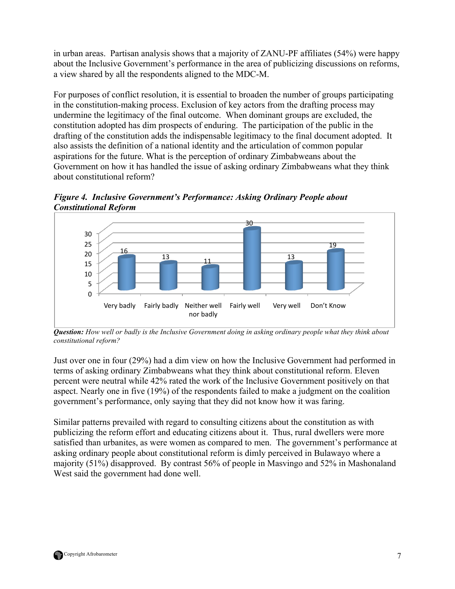in urban areas. Partisan analysis shows that a majority of ZANU-PF affiliates (54%) were happy about the Inclusive Government's performance in the area of publicizing discussions on reforms, a view shared by all the respondents aligned to the MDC-M.

For purposes of conflict resolution, it is essential to broaden the number of groups participating in the constitution-making process. Exclusion of key actors from the drafting process may undermine the legitimacy of the final outcome. When dominant groups are excluded, the constitution adopted has dim prospects of enduring. The participation of the public in the drafting of the constitution adds the indispensable legitimacy to the final document adopted. It also assists the definition of a national identity and the articulation of common popular aspirations for the future. What is the perception of ordinary Zimbabweans about the Government on how it has handled the issue of asking ordinary Zimbabweans what they think about constitutional reform?

*Figure 4. Inclusive Government's Performance: Asking Ordinary People about Constitutional Reform* 



*Question: How well or badly is the Inclusive Government doing in asking ordinary people what they think about constitutional reform?*

Just over one in four (29%) had a dim view on how the Inclusive Government had performed in terms of asking ordinary Zimbabweans what they think about constitutional reform. Eleven percent were neutral while 42% rated the work of the Inclusive Government positively on that aspect. Nearly one in five (19%) of the respondents failed to make a judgment on the coalition government's performance, only saying that they did not know how it was faring.

Similar patterns prevailed with regard to consulting citizens about the constitution as with publicizing the reform effort and educating citizens about it. Thus, rural dwellers were more satisfied than urbanites, as were women as compared to men. The government's performance at asking ordinary people about constitutional reform is dimly perceived in Bulawayo where a majority (51%) disapproved. By contrast 56% of people in Masvingo and 52% in Mashonaland West said the government had done well.

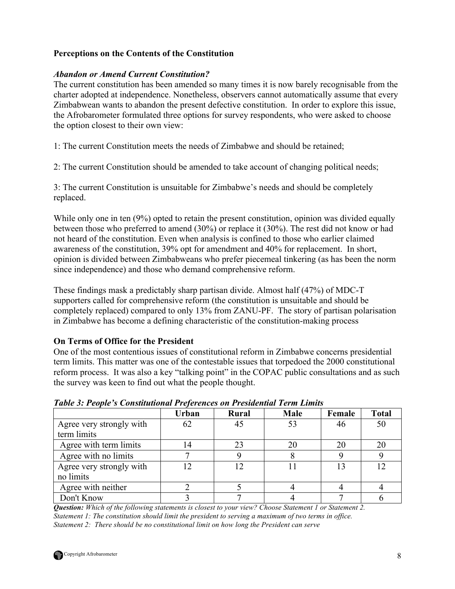# **Perceptions on the Contents of the Constitution**

### *Abandon or Amend Current Constitution?*

The current constitution has been amended so many times it is now barely recognisable from the charter adopted at independence. Nonetheless, observers cannot automatically assume that every Zimbabwean wants to abandon the present defective constitution. In order to explore this issue, the Afrobarometer formulated three options for survey respondents, who were asked to choose the option closest to their own view:

1: The current Constitution meets the needs of Zimbabwe and should be retained;

2: The current Constitution should be amended to take account of changing political needs;

3: The current Constitution is unsuitable for Zimbabwe's needs and should be completely replaced.

While only one in ten (9%) opted to retain the present constitution, opinion was divided equally between those who preferred to amend (30%) or replace it (30%). The rest did not know or had not heard of the constitution. Even when analysis is confined to those who earlier claimed awareness of the constitution, 39% opt for amendment and 40% for replacement. In short, opinion is divided between Zimbabweans who prefer piecemeal tinkering (as has been the norm since independence) and those who demand comprehensive reform.

These findings mask a predictably sharp partisan divide. Almost half (47%) of MDC-T supporters called for comprehensive reform (the constitution is unsuitable and should be completely replaced) compared to only 13% from ZANU-PF. The story of partisan polarisation in Zimbabwe has become a defining characteristic of the constitution-making process

### **On Terms of Office for the President**

One of the most contentious issues of constitutional reform in Zimbabwe concerns presidential term limits. This matter was one of the contestable issues that torpedoed the 2000 constitutional reform process. It was also a key "talking point" in the COPAC public consultations and as such the survey was keen to find out what the people thought.

|                          | Urban | Rural      | Male | Female | <b>Total</b> |
|--------------------------|-------|------------|------|--------|--------------|
| Agree very strongly with | 62    | 45         | 53   | 46     | 50           |
| term limits              |       |            |      |        |              |
| Agree with term limits   | 14    | 23         | 20   | 20     | 20           |
| Agree with no limits     |       |            |      |        |              |
| Agree very strongly with |       | $\sqrt{2}$ |      |        | 12           |
| no limits                |       |            |      |        |              |
| Agree with neither       |       |            |      |        |              |
| Don't Know               |       |            |      |        |              |

*Table 3: People's Constitutional Preferences on Presidential Term Limits*

*Question: Which of the following statements is closest to your view? Choose Statement 1 or Statement 2. Statement 1: The constitution should limit the president to serving a maximum of two terms in office. Statement 2: There should be no constitutional limit on how long the President can serve*

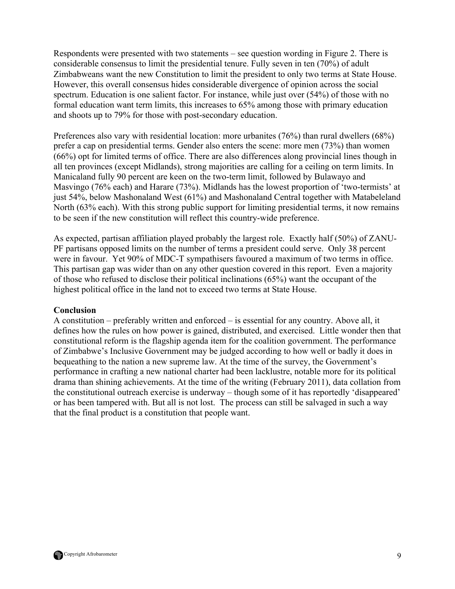Respondents were presented with two statements – see question wording in Figure 2. There is considerable consensus to limit the presidential tenure. Fully seven in ten (70%) of adult Zimbabweans want the new Constitution to limit the president to only two terms at State House. However, this overall consensus hides considerable divergence of opinion across the social spectrum. Education is one salient factor. For instance, while just over (54%) of those with no formal education want term limits, this increases to 65% among those with primary education and shoots up to 79% for those with post-secondary education.

Preferences also vary with residential location: more urbanites (76%) than rural dwellers (68%) prefer a cap on presidential terms. Gender also enters the scene: more men (73%) than women (66%) opt for limited terms of office. There are also differences along provincial lines though in all ten provinces (except Midlands), strong majorities are calling for a ceiling on term limits. In Manicaland fully 90 percent are keen on the two-term limit, followed by Bulawayo and Masvingo (76% each) and Harare (73%). Midlands has the lowest proportion of 'two-termists' at just 54%, below Mashonaland West (61%) and Mashonaland Central together with Matabeleland North (63% each). With this strong public support for limiting presidential terms, it now remains to be seen if the new constitution will reflect this country-wide preference.

As expected, partisan affiliation played probably the largest role. Exactly half (50%) of ZANU-PF partisans opposed limits on the number of terms a president could serve. Only 38 percent were in favour. Yet 90% of MDC-T sympathisers favoured a maximum of two terms in office. This partisan gap was wider than on any other question covered in this report. Even a majority of those who refused to disclose their political inclinations (65%) want the occupant of the highest political office in the land not to exceed two terms at State House.

### **Conclusion**

A constitution – preferably written and enforced – is essential for any country. Above all, it defines how the rules on how power is gained, distributed, and exercised. Little wonder then that constitutional reform is the flagship agenda item for the coalition government. The performance of Zimbabwe's Inclusive Government may be judged according to how well or badly it does in bequeathing to the nation a new supreme law. At the time of the survey, the Government's performance in crafting a new national charter had been lacklustre, notable more for its political drama than shining achievements. At the time of the writing (February 2011), data collation from the constitutional outreach exercise is underway – though some of it has reportedly 'disappeared' or has been tampered with. But all is not lost. The process can still be salvaged in such a way that the final product is a constitution that people want.